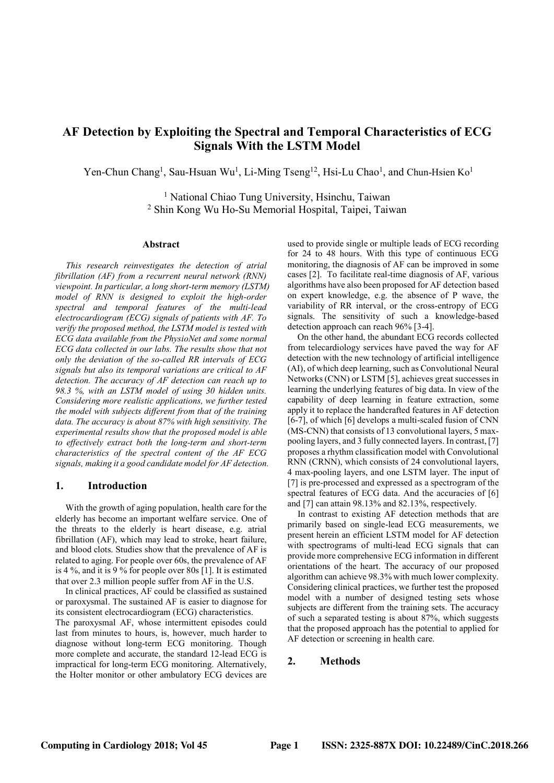# AF Detection by Exploiting the Spectral and Temporal Characteristics of ECG Signals With the LSTM Model

Yen-Chun Chang<sup>1</sup>, Sau-Hsuan Wu<sup>1</sup>, Li-Ming Tseng<sup>12</sup>, Hsi-Lu Chao<sup>1</sup>, and Chun-Hsien Ko<sup>1</sup>

<sup>1</sup> National Chiao Tung University, Hsinchu, Taiwan 2 Shin Kong Wu Ho-Su Memorial Hospital, Taipei, Taiwan

#### Abstract

This research reinvestigates the detection of atrial fibrillation (AF) from a recurrent neural network (RNN) viewpoint. In particular, a long short-term memory (LSTM) model of RNN is designed to exploit the high-order spectral and temporal features of the multi-lead electrocardiogram (ECG) signals of patients with AF. To verify the proposed method, the LSTM model is tested with ECG data available from the PhysioNet and some normal ECG data collected in our labs. The results show that not only the deviation of the so-called RR intervals of ECG signals but also its temporal variations are critical to AF detection. The accuracy of AF detection can reach up to 98.3 %, with an LSTM model of using 30 hidden units. Considering more realistic applications, we further tested the model with subjects different from that of the training data. The accuracy is about 87% with high sensitivity. The experimental results show that the proposed model is able to effectively extract both the long-term and short-term characteristics of the spectral content of the AF ECG signals, making it a good candidate model for AF detection.

#### 1. Introduction

With the growth of aging population, health care for the elderly has become an important welfare service. One of the threats to the elderly is heart disease, e.g. atrial fibrillation (AF), which may lead to stroke, heart failure, and blood clots. Studies show that the prevalence of AF is related to aging. For people over 60s, the prevalence of AF is 4 %, and it is 9 % for people over 80s [1]. It is estimated that over 2.3 million people suffer from AF in the U.S.

In clinical practices, AF could be classified as sustained or paroxysmal. The sustained AF is easier to diagnose for its consistent electrocardiogram (ECG) characteristics.

The paroxysmal AF, whose intermittent episodes could last from minutes to hours, is, however, much harder to diagnose without long-term ECG monitoring. Though more complete and accurate, the standard 12-lead ECG is impractical for long-term ECG monitoring. Alternatively, the Holter monitor or other ambulatory ECG devices are

used to provide single or multiple leads of ECG recording for 24 to 48 hours. With this type of continuous ECG monitoring, the diagnosis of AF can be improved in some cases [2]. To facilitate real-time diagnosis of AF, various algorithms have also been proposed for AF detection based on expert knowledge, e.g. the absence of P wave, the variability of RR interval, or the cross-entropy of ECG signals. The sensitivity of such a knowledge-based detection approach can reach 96% [3-4].

On the other hand, the abundant ECG records collected from telecardiology services have paved the way for AF detection with the new technology of artificial intelligence (AI), of which deep learning, such as Convolutional Neural Networks (CNN) or LSTM [5], achieves great successes in learning the underlying features of big data. In view of the capability of deep learning in feature extraction, some apply it to replace the handcrafted features in AF detection [6-7], of which [6] develops a multi-scaled fusion of CNN (MS-CNN) that consists of 13 convolutional layers, 5 maxpooling layers, and 3 fully connected layers. In contrast, [7] proposes a rhythm classification model with Convolutional RNN (CRNN), which consists of 24 convolutional layers, 4 max-pooling layers, and one LSTM layer. The input of [7] is pre-processed and expressed as a spectrogram of the spectral features of ECG data. And the accuracies of [6] and [7] can attain 98.13% and 82.13%, respectively.

 In contrast to existing AF detection methods that are primarily based on single-lead ECG measurements, we present herein an efficient LSTM model for AF detection with spectrograms of multi-lead ECG signals that can provide more comprehensive ECG information in different orientations of the heart. The accuracy of our proposed algorithm can achieve 98.3% with much lower complexity. Considering clinical practices, we further test the proposed model with a number of designed testing sets whose subjects are different from the training sets. The accuracy of such a separated testing is about 87%, which suggests that the proposed approach has the potential to applied for AF detection or screening in health care.

# 2. Methods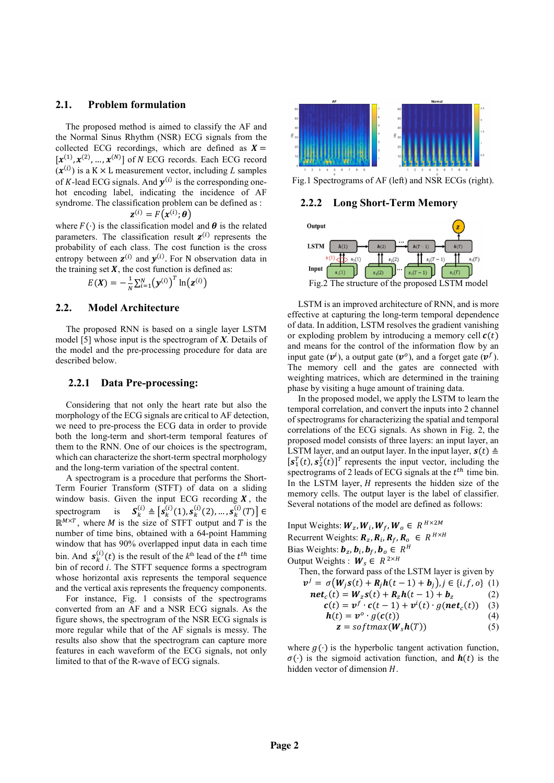# 2.1. Problem formulation

The proposed method is aimed to classify the AF and the Normal Sinus Rhythm (NSR) ECG signals from the 2.1. Problem formulation<br>
The proposed method is aimed to classify the AF and<br>
collected ECG recordings, which are defined as  $X = \begin{bmatrix} x^{(1)}, x^{(2)}, ..., x^{(N)} \end{bmatrix}$  of M ECG recordings, which are defined as  $X = \begin{bmatrix} x^{(1)}, x^{(2)}, ...,$  $[x^{(1)}, x^{(2)}, ..., x^{(N)}]$  of N ECG records. Each ECG record **Problem formulation**<br>
ne proposed method is aimed to classify the AF and<br>
Normal Sinus Rhythm (NSR) ECG signals from the<br>
ted ECG recordings, which are defined as  $X = x^2$ ,<br>  $x^2/2,...,x^{(N)}$  of N ECG records. Each ECG recor Problem formulation<br>
oposed method is aimed to classify the AF and<br>
al Sinus Rhythm (NSR) ECG signals from the<br>
ECG recordings, which are defined as  $X =$ <br>  $\ldots, x^{(N)}$  of N ECG records. Each ECG record<br>  $\ldots, x^{(N)}$  of N EC  $(x^{(i)})$  is a K × L measurement vector, including L **Problem formulation**<br>
he proposed method is aimed to classify the AF and<br>
Normal Sinux Brythm (NSR) ECG ignals from the<br>
deta ECG recordings, which are defined as  $X =$ <br>  $x^2$ ,  $x^{(2)}$ ,  $x^{(3)}$ ,  $x^{(5)}$  of N ECG records. of K-lead ECG signals. And  $y^{(i)}$  is the corresponding one-<br>Fig.1 Spectro hot encoding label, indicating the incidence of AF syndrome. The classification problem can be defined as : 2.2.2  $(i) \cdot \boldsymbol{\beta}$ **Problem formulation**<br>
reposed method is aimed to classify the AF and<br>
ECG recordings, which are defined as  $X =$ <br>  $\int_{-\infty}^{+\infty} X^L$ ,  $\int_{-\infty}^{+\infty} X^L$ ,  $\int_{-\infty}^{+\infty} X^L$ ,  $\int_{-\infty}^{+\infty} X^L$ ,  $\int_{-\infty}^{+\infty} X^L$ ,  $\int_{-\infty}^{+\infty$ 

$$
\mathbf{z}^{(i)} = F\big(\pmb{x}^{(i)}; \boldsymbol{\theta}\big)
$$

where  $F(\cdot)$  is the classification model and  $\theta$  is the related output parameters. The classification result  $z^{(i)}$  represents the probability of each class. The cost function is the cross LSTM entropy between  $\mathbf{z}^{(i)}$  and  $\mathbf{y}^{(i)}$ . For N observation data in the training set  $X$ , the cost function is defined as:  $I_{\text{input}}$ 

$$
E(X) = -\frac{1}{N} \sum_{i=1}^{N} (y^{(i)})^T \ln(z^{(i)})
$$

## 2.2. Model Architecture

The proposed RNN is based on a single layer LSTM model [5] whose input is the spectrogram of  $X$ . Details of the model and the pre-processing procedure for data are described below.

2.2.1 Data Pre-processing:<br>Considering that not only the heart rate but also the morphology of the ECG signals are critical to AF detection, we need to pre-process the ECG data in order to provide both the long-term and short-term temporal features of them to the RNN. One of our choices is the spectrogram, which can characterize the short-term spectral morphology and the long-term variation of the spectral content.

A spectrogram is a procedure that performs the Short-Term Fourier Transform (STFT) of data on a sliding window basis. Given the input ECG recording  $X$ , the spectrogram is  $S_k^{(i)} \triangleq [s_k^{(i)}(1), s_k^{(i)}(2), ..., s_k^{(i)}(T)] \in$  $\mathbb{R}^{M \times T}$ , where M is the size of STFT output and T is the Input Weights: number of time bins, obtained with a 64-point Hamming window that has 90% overlapped input data in each time bin. And  $s_k^{(i)}(t)$  is the result of the  $k^{\text{th}}$  lead of the  $t^{\text{th}}$  time Output Weight bin of record *i*. The STFT sequence forms a spectrogram whose horizontal axis represents the temporal sequence and the vertical axis represents the frequency components.

For instance, Fig. 1 consists of the spectrograms converted from an AF and a NSR ECG signals. As the figure shows, the spectrogram of the NSR ECG signals is more regular while that of the AF signals is messy. The results also show that the spectrogram can capture more features in each waveform of the ECG signals, not only limited to that of the R-wave of ECG signals.



Fig.1 Spectrograms of AF (left) and NSR ECGs (right).

#### Long Short-Term Memory



LSTM is an improved architecture of RNN, and is more effective at capturing the long-term temporal dependence of data. In addition, LSTM resolves the gradient vanishing or exploding problem by introducing a memory cell  $c(t)$ and means for the control of the information flow by an input gate  $(v^i)$ , a output gate  $(v^o)$ , and a forget gate  $(v^f)$ .  $f<sub>1</sub>$ ). The memory cell and the gates are connected with weighting matrices, which are determined in the training phase by visiting a huge amount of training data.

<sup>1</sup> In( $\mathbf{z}^{(1)}$ ) Fig.2 The structure of the proposed LSTM model<br> **Fig.2** The structure of RNN, and is more of<br> **EVERTM** is an improved architecture of RNN, and is more of RNN, and is more prefined agreem terms of data (2) Fig.2 The structure of the proposed LSTM model<br>
LSTM is an improved architecture of RNN, and is more<br>
effective at capturing the long-term temporal dependence<br>
of data. In addition, LSTM resolves the gradient vanishi  $\sum_{(i) \in \mathcal{I}} A$ , the Several notations of the model are defined as follows: In the proposed model, we apply the LSTM to learn the temporal correlation, and convert the inputs into 2 channel of spectrograms for characterizing the spatial and temporal correlations of the ECG signals. As shown in Fig. 2, the proposed model consists of three layers: an input layer, an LSTM layer, and an output layer. In the input layer,  $s(t) \triangleq$  $[s_1^T(t), s_2^T(t)]^T$  represents the input vector, including the **LET AT ALL ASSET ASSET ASSET ASSETS AN ALL ASSETS AND INTERTWING A THOMAL AND THANGT FOR STAT ASSET AND THANGT FOR STAT ASSET ASSET AS A THOUGHT IN THE STAT AND INTERTATION INTERTATION INTERTATION INTERTATION IN THE AND** spectrograms of 2 leads of ECG signals at the  $t^{th}$  time bin. In the LSTM layer,  $H$  represents the hidden size of the memory cells. The output layer is the label of classifier. froved architecture of RNN, and is more<br>ng the long-term temporal dependence<br>ng the long-term temporal dependence<br>f. LSTM resolves the gradient vanishing<br>em by introducing a memory cell  $c(t)$ <br>control of the information or anotheristic of RNN, and is more<br>the long-term temporal dependence<br>TM resolves the gradient vanishing<br>by introducing a memory cell  $c(t)$ <br>trol of the information flow by an<br>t gate  $(\nu^0)$ , and a forget gate  $(\nu^f)$ .<br>the chitecture of RNN, and is more<br>
ong-term temporal dependence<br>
resolves the gradient vanishing<br>
throducing a memory cell  $c(t)$ <br>
of the information flow by an<br>
te  $(v^0)$ , and a forget gate  $(v^f)$ .<br>
e gates are connected wit Evaluated and interest parameteric of KINN, and is more<br>the long-term temporal dependence<br>TM resolves the gradient vanishing<br>by introducing a memory cell  $c(t)$ <br>throl of the information flow by an<br>it gate  $(v^0)$ , and a for reminecture of KINN, and is more<br>long-term temporal dependence<br>I resolves the gradient vanishing<br>introducing a memory cell  $c(t)$ <br>of the information flow by an<br>ate  $(v^0)$ , and a forget gate  $(v^f)$ .<br>the gates are connected Implies to interact the<br>momenta expendent variabling<br>the increding the product the gradient variabling<br>blem by introducing a memory cell  $c(t)$ <br>is expected to the information flow by an<br>output gate  $(v^0)$ , and a forget gat gian only entropolariated variables that the product that  $\mathbf{g}$  is the galactic resolves the gradient vanishing m by introducing a memory cell  $c(t)$  ontrol of the information flow by an thut gate  $(\mathbf{v}^6)$ , and a for gate ( $v^i$ ), a output gate ( $v^o$ ), and a forget gate ( $v^j$ ).<br>
memory cell and the gates are connected with<br>
memory cell and the gates are connected with<br>
thing matrices, which are determined in the training<br>
thy visiti a forget gate  $(v^f)$ .<br>
connected with<br>
ed in the training<br>
ing data.<br>
LSTM to learn the<br>
uts into 2 channel<br>
atial and temporal<br>
atial and temporal<br>
wuve in Fig. 2, the<br>
an input layer, sn<br>
any tayer, sn<br>
the t<sup>th</sup> time pry cell and the gates are connected with<br>matrices, which are determined in the training<br>siting a huge amount of training data.<br>Single a parount of training data,<br>proposed model, we apply the LSTM to learn the<br>prrelation, in the gates are connected with<br>
which are determined in the training<br>
und the gates are connected with<br>
which are determined in the training<br>
uge amount of training data.<br>
and convert the inputs into 2 channel<br>
haracter matrices, which are determined in the training<br>
sisting a huge amount of training data.<br>
correlation, and convert the inputs into 2 channel<br>
correlation, and convert the inputs into 2 channel<br>
grams for characterizing the which are determined in the training<br>uge amount of training data.<br>
odel, we apply the LSTM to learn the<br>
and convert the inputs into 2 channel<br>
and correct the inputs into 2 channel<br>
cG signals. As shown in Fig. 2, the<br> istiting a huge amount of training data.<br>
roposed model, we apply the LSTM to learn the<br>
orrelation, and convert the inputs into 2 channel<br>
orrelation, and convert the inputs into 2 channel<br>
grams for characterizing the s ge amount of training data.<br>
ddel, we apply the LSTM to learn the<br>
and convert the inputs into 2 channel<br>
anaracterizing the spatial and temporal<br>
CG signals. As shown in Fig. 2, the<br>
ists of three layers: an input layer, oosed model, we apply the LSTM to learn the<br>
elation, and convert the inputs into 2 channel<br>
ms for characterizing the spatial and temporal<br>
of the ECG signals. As shown in Fig. 2, the<br>
del consists of three layers: an in

Input Weights: 
$$
W_z
$$
,  $W_i$ ,  $W_f$ ,  $W_o \,\in R^{H \times 2M}$   
\nRecurrent Weights:  $R_z$ ,  $R_i$ ,  $R_f$ ,  $R_o \in R^{H \times H}$   
\nBias Weights:  $b_z$ ,  $b_i$ ,  $b_f$ ,  $b_o \in R^H$   
\nOutput Weights:  $W_s \in R^{2 \times H}$   
\nThen, the forward pass of the LSTM layer is given by  
\n $v^j = \sigma(W_j s(t) + R_j h(t - 1) + b_j), j \in \{i, f, o\}$  (1)  
\n $net_c(t) = W_z s(t) + R_z h(t - 1) + b_z$  (2)  
\n $c(t) = v^f \cdot c(t - 1) + v^i(t) \cdot g(net_c(t))$  (3)  
\n $h(t) = v^o \cdot g(c(t))$  (4)  
\n $z = softmax(W_b h(T))$  (5)

where  $g(\cdot)$  is the hyperbolic tangent activation function,  $\sigma(\cdot)$  is the sigmoid activation function, and  $h(t)$  is the hidden vector of dimension  $H$ .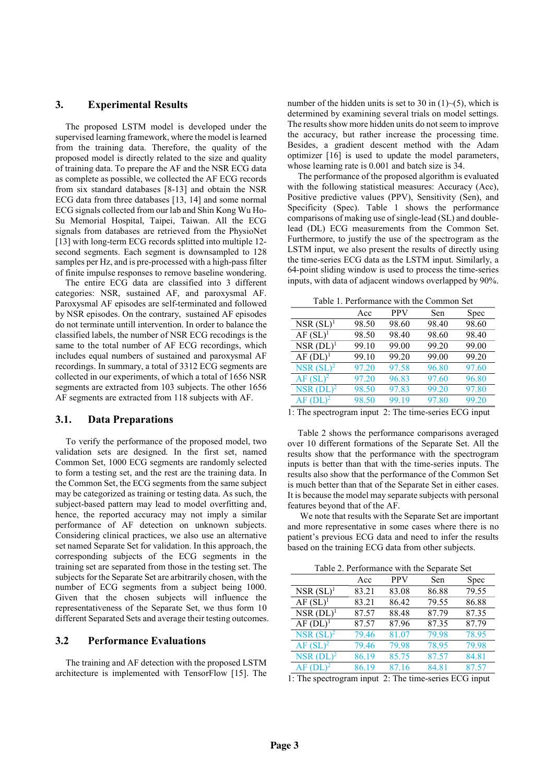# 3. Experimental Results

The proposed LSTM model is developed under the supervised learning framework, where the model is learned from the training data. Therefore, the quality of the proposed model is directly related to the size and quality of training data. To prepare the AF and the NSR ECG data as complete as possible, we collected the AF ECG records from six standard databases [8-13] and obtain the NSR ECG data from three databases [13, 14] and some normal ECG signals collected from our lab and Shin Kong Wu Ho-Su Memorial Hospital, Taipei, Taiwan. All the ECG signals from databases are retrieved from the PhysioNet [13] with long-term ECG records splitted into multiple 12second segments. Each segment is downsampled to 128 samples per Hz, and is pre-processed with a high-pass filter of finite impulse responses to remove baseline wondering.

The entire ECG data are classified into 3 different categories: NSR, sustained AF, and paroxysmal AF. Paroxysmal AF episodes are self-terminated and followed by NSR episodes. On the contrary, sustained AF episodes do not terminate untill intervention. In order to balance the classified labels, the number of NSR ECG recodings is the same to the total number of AF ECG recordings, which includes equal numbers of sustained and paroxysmal AF recordings. In summary, a total of 3312 ECG segments are collected in our experiments, of which a total of 1656 NSR segments are extracted from 103 subjects. The other 1656 AF segments are extracted from 118 subjects with AF.

#### 3.1. Data Preparations

To verify the performance of the proposed model, two validation sets are designed. In the first set, named Common Set, 1000 ECG segments are randomly selected to form a testing set, and the rest are the training data. In the Common Set, the ECG segments from the same subject may be categorized as training or testing data. As such, the subject-based pattern may lead to model overfitting and, hence, the reported accuracy may not imply a similar performance of AF detection on unknown subjects. Considering clinical practices, we also use an alternative set named Separate Set for validation. In this approach, the corresponding subjects of the ECG segments in the training set are separated from those in the testing set. The subjects for the Separate Set are arbitrarily chosen, with the number of ECG segments from a subject being 1000. Given that the chosen subjects will influence the representativeness of the Separate Set, we thus form 10 different Separated Sets and average their testing outcomes.

# 3.2 Performance Evaluations

The training and AF detection with the proposed LSTM architecture is implemented with TensorFlow [15]. The

number of the hidden units is set to 30 in  $(1)$  –(5), which is determined by examining several trials on model settings. The results show more hidden units do not seem to improve the accuracy, but rather increase the processing time. Besides, a gradient descent method with the Adam optimizer [16] is used to update the model parameters, whose learning rate is 0.001 and batch size is 34.

The performance of the proposed algorithm is evaluated with the following statistical measures: Accuracy (Acc), Positive predictive values (PPV), Sensitivity (Sen), and Specificity (Spec). Table 1 shows the performance comparisons of making use of single-lead (SL) and doublelead (DL) ECG measurements from the Common Set. Furthermore, to justify the use of the spectrogram as the LSTM input, we also present the results of directly using the time-series ECG data as the LSTM input. Similarly, a 64-point sliding window is used to process the time-series inputs, with data of adjacent windows overlapped by 90%.

Table 1. Performance with the Common Set

| Spec  |
|-------|
| 98.60 |
| 98.40 |
| 99.00 |
| 99.20 |
| 97.60 |
| 96.80 |
| 97.80 |
| 99.20 |
|       |

1: The spectrogram input 2: The time-series ECG input

Table 2 shows the performance comparisons averaged over 10 different formations of the Separate Set. All the results show that the performance with the spectrogram inputs is better than that with the time-series inputs. The results also show that the performance of the Common Set is much better than that of the Separate Set in either cases. It is because the model may separate subjects with personal features beyond that of the AF.

 We note that results with the Separate Set are important and more representative in some cases where there is no patient's previous ECG data and need to infer the results based on the training ECG data from other subjects.

Table 2. Performance with the Separate Set

| ~~~~                   |       |            |       |       |  |
|------------------------|-------|------------|-------|-------|--|
|                        | Acc   | <b>PPV</b> | Sen   | Spec  |  |
| $NSR(SL)^1$            | 83.21 | 83.08      | 86.88 | 79.55 |  |
| $AF(SL)^1$             | 83.21 | 86.42      | 79.55 | 86.88 |  |
| $NSR (DL)^1$           | 87.57 | 88.48      | 87.79 | 87.35 |  |
| $AF(DL)^1$             | 87.57 | 87.96      | 87.35 | 87.79 |  |
| NSR $(SL)^2$           | 79.46 | 81.07      | 79.98 | 78.95 |  |
| $AF(SL)^2$             | 79.46 | 79.98      | 78.95 | 79.98 |  |
| $NSR (DL)^2$           | 86.19 | 85.75      | 87.57 | 84.81 |  |
| $AF$ (DL) <sup>2</sup> | 86.19 | 87.16      | 84.81 | 87.57 |  |

1: The spectrogram input 2: The time-series ECG input